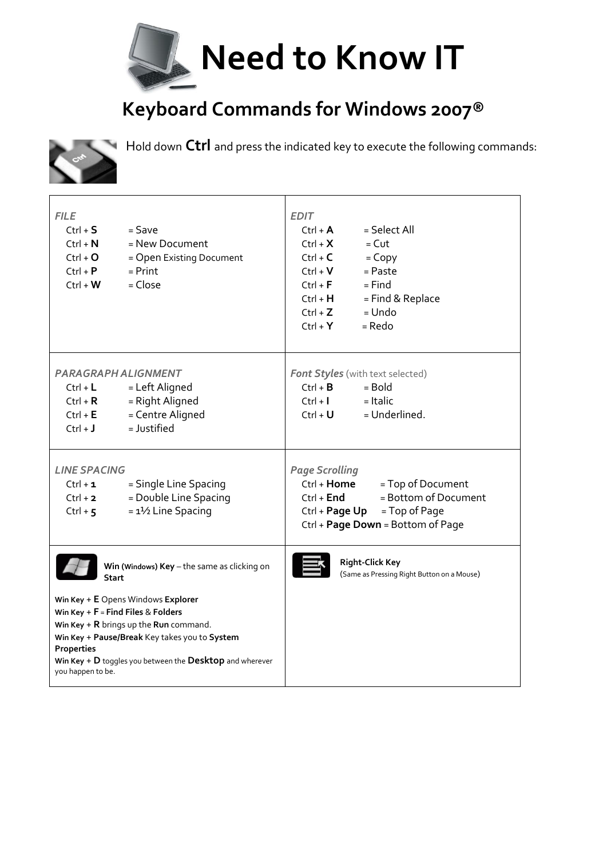

## **Keyboard Commands for Windows 2007®**



Hold down **Ctrl** and press the indicated key to execute the following commands:

| <b>FILE</b><br>$Ctrl + S$<br>$Ctrl + N$<br>$Ctrl + O$<br>$Ctrl + P$<br>$Ctrl + W$                                                                                                                                                                                                                                                                | $=$ Save<br>= New Document<br>= Open Existing Document<br>$=$ Print<br>$= Close$ | <b>EDIT</b><br>= Select All<br>$Ctrl + A$<br>$Ctrl + X$<br>$=$ Cut<br>$Ctrl + C$<br>$=$ Copy<br>$Ctrl + V$<br>$=$ Paste<br>$Ctrl + F$<br>$=$ Find<br>= Find & Replace<br>$Ctrl + H$<br>$=$ Undo<br>$Ctrl + Z$<br>$Ctrl + Y$<br>= Redo |
|--------------------------------------------------------------------------------------------------------------------------------------------------------------------------------------------------------------------------------------------------------------------------------------------------------------------------------------------------|----------------------------------------------------------------------------------|---------------------------------------------------------------------------------------------------------------------------------------------------------------------------------------------------------------------------------------|
| PARAGRAPH ALIGNMENT<br>$Ctrl + L$<br>$Ctrl + R$<br>$Ctrl + E$<br>$Ctrl + J$                                                                                                                                                                                                                                                                      | = Left Aligned<br>= Right Aligned<br>= Centre Aligned<br>= Justified             | <b>Font Styles</b> (with text selected)<br>$Ctrl + B$<br>$=$ Bold<br>$=$ Italic<br>$Ctrl + I$<br>= Underlined.<br>$Ctrl + U$                                                                                                          |
| <b>LINE SPACING</b><br>$Ctrl + 1$<br>$Ctrl + 2$<br>Ctrl + $5$                                                                                                                                                                                                                                                                                    | = Single Line Spacing<br>= Double Line Spacing<br>$= 1\frac{1}{2}$ Line Spacing  | <b>Page Scrolling</b><br>= Top of Document<br>Ctrl + <b>Home</b><br>= Bottom of Document<br>$Ctrl + End$<br>Ctrl + Page Up<br>= Top of Page<br>Ctrl + Page Down = Bottom of Page                                                      |
| Win (Windows) $Key$ – the same as clicking on<br><b>Start</b><br>Win Key + E Opens Windows Explorer<br>Win Key + $F = Find$ Files & Folders<br>Win Key + $R$ brings up the Run command.<br>Win Key + Pause/Break Key takes you to System<br><b>Properties</b><br>Win Key $+$ D toggles you between the Desktop and wherever<br>you happen to be. |                                                                                  | <b>Right-Click Key</b><br>(Same as Pressing Right Button on a Mouse)                                                                                                                                                                  |